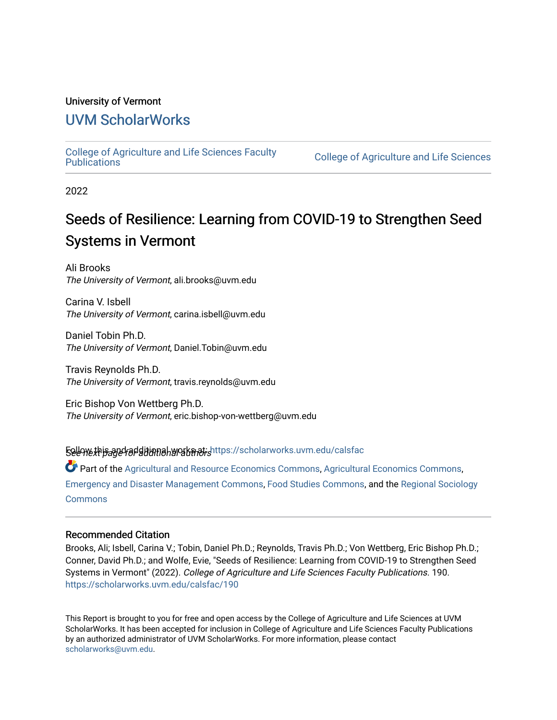#### University of Vermont

#### [UVM ScholarWorks](https://scholarworks.uvm.edu/)

[College of Agriculture and Life Sciences Faculty](https://scholarworks.uvm.edu/calsfac) 

**College of Agriculture and Life Sciences** 

2022

### Seeds of Resilience: Learning from COVID-19 to Strengthen Seed Systems in Vermont

Ali Brooks The University of Vermont, ali.brooks@uvm.edu

Carina V. Isbell The University of Vermont, carina.isbell@uvm.edu

Daniel Tobin Ph.D. The University of Vermont, Daniel.Tobin@uvm.edu

Travis Reynolds Ph.D. The University of Vermont, travis.reynolds@uvm.edu

Eric Bishop Von Wettberg Ph.D. The University of Vermont, eric.bishop-von-wettberg@uvm.edu

5ellow this and additional works at shittps://scholarworks.uvm.edu/calsfac

Part of the [Agricultural and Resource Economics Commons,](http://network.bepress.com/hgg/discipline/317?utm_source=scholarworks.uvm.edu%2Fcalsfac%2F190&utm_medium=PDF&utm_campaign=PDFCoverPages) [Agricultural Economics Commons,](http://network.bepress.com/hgg/discipline/1225?utm_source=scholarworks.uvm.edu%2Fcalsfac%2F190&utm_medium=PDF&utm_campaign=PDFCoverPages) [Emergency and Disaster Management Commons,](http://network.bepress.com/hgg/discipline/1321?utm_source=scholarworks.uvm.edu%2Fcalsfac%2F190&utm_medium=PDF&utm_campaign=PDFCoverPages) [Food Studies Commons,](http://network.bepress.com/hgg/discipline/1386?utm_source=scholarworks.uvm.edu%2Fcalsfac%2F190&utm_medium=PDF&utm_campaign=PDFCoverPages) and the [Regional Sociology](http://network.bepress.com/hgg/discipline/427?utm_source=scholarworks.uvm.edu%2Fcalsfac%2F190&utm_medium=PDF&utm_campaign=PDFCoverPages) [Commons](http://network.bepress.com/hgg/discipline/427?utm_source=scholarworks.uvm.edu%2Fcalsfac%2F190&utm_medium=PDF&utm_campaign=PDFCoverPages)

#### Recommended Citation

Brooks, Ali; Isbell, Carina V.; Tobin, Daniel Ph.D.; Reynolds, Travis Ph.D.; Von Wettberg, Eric Bishop Ph.D.; Conner, David Ph.D.; and Wolfe, Evie, "Seeds of Resilience: Learning from COVID-19 to Strengthen Seed Systems in Vermont" (2022). College of Agriculture and Life Sciences Faculty Publications. 190. [https://scholarworks.uvm.edu/calsfac/190](https://scholarworks.uvm.edu/calsfac/190?utm_source=scholarworks.uvm.edu%2Fcalsfac%2F190&utm_medium=PDF&utm_campaign=PDFCoverPages)

This Report is brought to you for free and open access by the College of Agriculture and Life Sciences at UVM ScholarWorks. It has been accepted for inclusion in College of Agriculture and Life Sciences Faculty Publications by an authorized administrator of UVM ScholarWorks. For more information, please contact [scholarworks@uvm.edu](mailto:scholarworks@uvm.edu).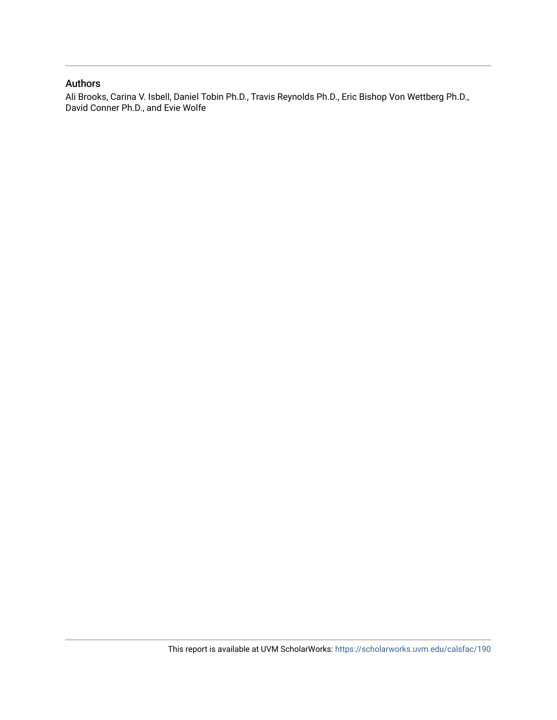#### Authors

Ali Brooks, Carina V. Isbell, Daniel Tobin Ph.D., Travis Reynolds Ph.D., Eric Bishop Von Wettberg Ph.D., David Conner Ph.D., and Evie Wolfe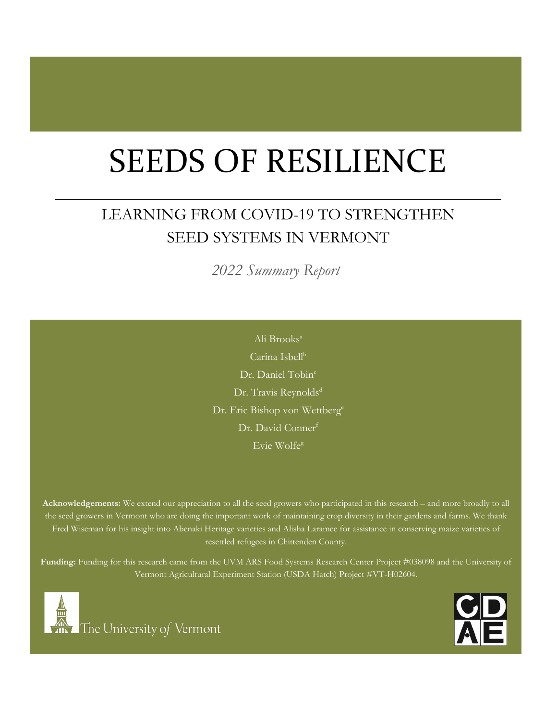# SEEDS OF RESILIENCE

# LEARNING FROM COVID-19 TO STRENGTHEN SEED SYSTEMS IN VERMONT

*2022 Summary Report*

Dr. David Conner<sup>f</sup> Ali Brooksa Carina Isbell<sup>b</sup> Dr. Daniel Tobin<sup>c</sup> Dr. Travis Reynolds<sup>d</sup> Dr. Eric Bishop von Wettberg<sup>e</sup> Evie Wolfeg

**Acknowledgements:** We extend our appreciation to all the seed growers who participated in this research – and more broadly to all the seed growers in Vermont who are doing the important work of maintaining crop diversity in their gardens and farms. We thank Fred Wiseman for his insight into Abenaki Heritage varieties and Alisha Laramee for assistance in conserving maize varieties of resettled refugees in Chittenden County.

**Funding:** Funding for this research came from the UVM ARS Food Systems Research Center Project #038098 and the University of Vermont Agricultural Experiment Station (USDA Hatch) Project #VT-H02604.



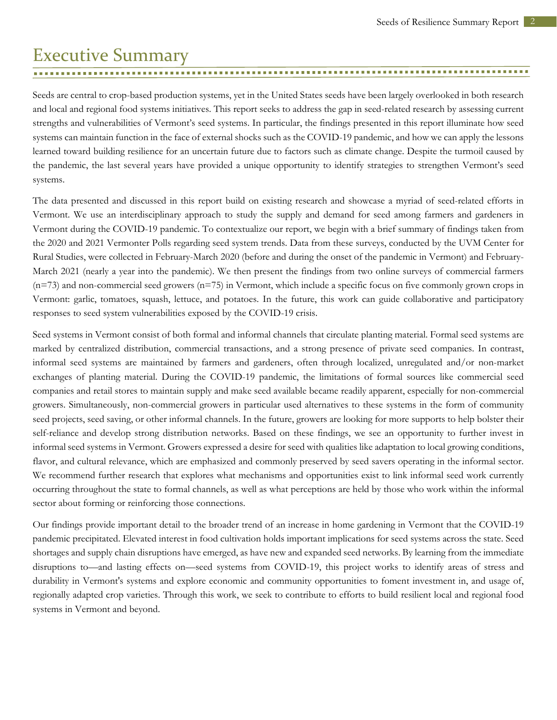### <span id="page-3-0"></span>Executive Summary

Seeds are central to crop-based production systems, yet in the United States seeds have been largely overlooked in both research and local and regional food systems initiatives. This report seeks to address the gap in seed-related research by assessing current strengths and vulnerabilities of Vermont's seed systems. In particular, the findings presented in this report illuminate how seed systems can maintain function in the face of external shocks such as the COVID-19 pandemic, and how we can apply the lessons learned toward building resilience for an uncertain future due to factors such as climate change. Despite the turmoil caused by the pandemic, the last several years have provided a unique opportunity to identify strategies to strengthen Vermont's seed systems.

The data presented and discussed in this report build on existing research and showcase a myriad of seed-related efforts in Vermont. We use an interdisciplinary approach to study the supply and demand for seed among farmers and gardeners in Vermont during the COVID-19 pandemic. To contextualize our report, we begin with a brief summary of findings taken from the 2020 and 2021 Vermonter Polls regarding seed system trends. Data from these surveys, conducted by the UVM Center for Rural Studies, were collected in February-March 2020 (before and during the onset of the pandemic in Vermont) and February-March 2021 (nearly a year into the pandemic). We then present the findings from two online surveys of commercial farmers (n=73) and non-commercial seed growers (n=75) in Vermont, which include a specific focus on five commonly grown crops in Vermont: garlic, tomatoes, squash, lettuce, and potatoes. In the future, this work can guide collaborative and participatory responses to seed system vulnerabilities exposed by the COVID-19 crisis.

Seed systems in Vermont consist of both formal and informal channels that circulate planting material. Formal seed systems are marked by centralized distribution, commercial transactions, and a strong presence of private seed companies. In contrast, informal seed systems are maintained by farmers and gardeners, often through localized, unregulated and/or non-market exchanges of planting material. During the COVID-19 pandemic, the limitations of formal sources like commercial seed companies and retail stores to maintain supply and make seed available became readily apparent, especially for non-commercial growers. Simultaneously, non-commercial growers in particular used alternatives to these systems in the form of community seed projects, seed saving, or other informal channels. In the future, growers are looking for more supports to help bolster their self-reliance and develop strong distribution networks. Based on these findings, we see an opportunity to further invest in informal seed systems in Vermont. Growers expressed a desire for seed with qualities like adaptation to local growing conditions, flavor, and cultural relevance, which are emphasized and commonly preserved by seed savers operating in the informal sector. We recommend further research that explores what mechanisms and opportunities exist to link informal seed work currently occurring throughout the state to formal channels, as well as what perceptions are held by those who work within the informal sector about forming or reinforcing those connections.

Our findings provide important detail to the broader trend of an increase in home gardening in Vermont that the COVID-19 pandemic precipitated. Elevated interest in food cultivation holds important implications for seed systems across the state. Seed shortages and supply chain disruptions have emerged, as have new and expanded seed networks. By learning from the immediate disruptions to—and lasting effects on—seed systems from COVID-19, this project works to identify areas of stress and durability in Vermont's systems and explore economic and community opportunities to foment investment in, and usage of, regionally adapted crop varieties. Through this work, we seek to contribute to efforts to build resilient local and regional food systems in Vermont and beyond.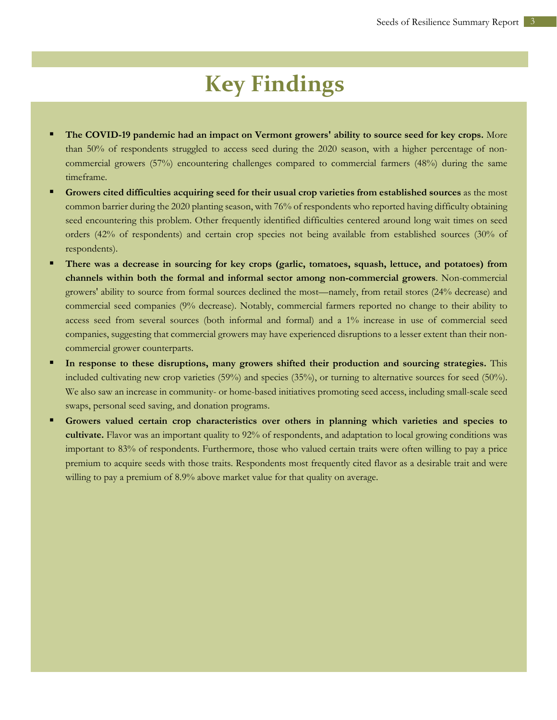# **Key Findings**

- **The COVID-19 pandemic had an impact on Vermont growers' ability to source seed for key crops.** More than 50% of respondents struggled to access seed during the 2020 season, with a higher percentage of noncommercial growers (57%) encountering challenges compared to commercial farmers (48%) during the same timeframe.
- **Growers cited difficulties acquiring seed for their usual crop varieties from established sources** as the most common barrier during the 2020 planting season, with 76% of respondents who reported having difficulty obtaining seed encountering this problem. Other frequently identified difficulties centered around long wait times on seed orders (42% of respondents) and certain crop species not being available from established sources (30% of respondents).
- **There was a decrease in sourcing for key crops (garlic, tomatoes, squash, lettuce, and potatoes) from channels within both the formal and informal sector among non-commercial growers**. Non-commercial growers' ability to source from formal sources declined the most—namely, from retail stores (24% decrease) and commercial seed companies (9% decrease). Notably, commercial farmers reported no change to their ability to access seed from several sources (both informal and formal) and a 1% increase in use of commercial seed companies, suggesting that commercial growers may have experienced disruptions to a lesser extent than their noncommercial grower counterparts.
- **In response to these disruptions, many growers shifted their production and sourcing strategies.** This included cultivating new crop varieties (59%) and species (35%), or turning to alternative sources for seed (50%). We also saw an increase in community- or home-based initiatives promoting seed access, including small-scale seed swaps, personal seed saving, and donation programs.
- **Growers valued certain crop characteristics over others in planning which varieties and species to cultivate.** Flavor was an important quality to 92% of respondents, and adaptation to local growing conditions was important to 83% of respondents. Furthermore, those who valued certain traits were often willing to pay a price premium to acquire seeds with those traits. Respondents most frequently cited flavor as a desirable trait and were willing to pay a premium of 8.9% above market value for that quality on average.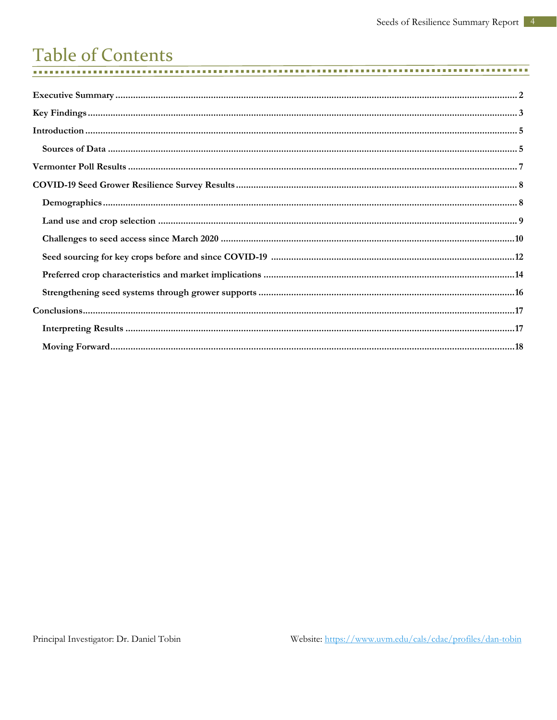#### **Table of Contents .............**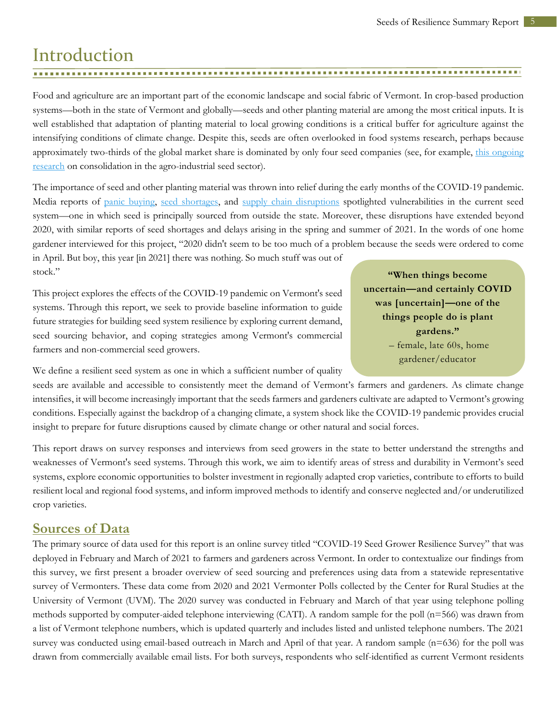# <span id="page-6-0"></span>Introduction

Food and agriculture are an important part of the economic landscape and social fabric of Vermont. In crop-based production systems—both in the state of Vermont and globally—seeds and other planting material are among the most critical inputs. It is well established that adaptation of planting material to local growing conditions is a critical buffer for agriculture against the intensifying conditions of climate change. Despite this, seeds are often overlooked in food systems research, perhaps because approximately two-thirds of the global market share is dominated by only four seed companies (see, for example, this ongoing [research](https://philhoward.net/2018/12/31/global-seed-industry-changes-since-2013/) on consolidation in the agro-industrial seed sector).

The importance of seed and other planting material was thrown into relief during the early months of the COVID-19 pandemic. Media reports of [panic buying,](https://www.nytimes.com/2020/03/28/style/seed-panic-buying-coronavirus.html) [seed shortages,](https://www.npr.org/2021/02/05/964043089/suppliers-field-growing-demand-for-seeds-from-pandemic-gardeners) and [supply chain disruptions](https://civileats.com/2021/02/22/the-covid-gardening-renaissance-depends-on-seeds-if-you-can-find-them/) spotlighted vulnerabilities in the current seed system—one in which seed is principally sourced from outside the state. Moreover, these disruptions have extended beyond 2020, with similar reports of seed shortages and delays arising in the spring and summer of 2021. In the words of one home gardener interviewed for this project, "2020 didn't seem to be too much of a problem because the seeds were ordered to come

in April. But boy, this year [in 2021] there was nothing. So much stuff was out of stock."

This project explores the effects of the COVID-19 pandemic on Vermont's seed systems. Through this report, we seek to provide baseline information to guide future strategies for building seed system resilience by exploring current demand, seed sourcing behavior, and coping strategies among Vermont's commercial farmers and non-commercial seed growers.

**"When things become uncertain—and certainly COVID was [uncertain]—one of the things people do is plant gardens."** – female, late 60s, home gardener/educator

We define a resilient seed system as one in which a sufficient number of quality

seeds are available and accessible to consistently meet the demand of Vermont's farmers and gardeners. As climate change intensifies, it will become increasingly important that the seeds farmers and gardeners cultivate are adapted to Vermont's growing conditions. Especially against the backdrop of a changing climate, a system shock like the COVID-19 pandemic provides crucial insight to prepare for future disruptions caused by climate change or other natural and social forces.

This report draws on survey responses and interviews from seed growers in the state to better understand the strengths and weaknesses of Vermont's seed systems. Through this work, we aim to identify areas of stress and durability in Vermont's seed systems, explore economic opportunities to bolster investment in regionally adapted crop varieties, contribute to efforts to build resilient local and regional food systems, and inform improved methods to identify and conserve neglected and/or underutilized crop varieties.

#### <span id="page-6-1"></span>**Sources of Data**

The primary source of data used for this report is an online survey titled "COVID-19 Seed Grower Resilience Survey" that was deployed in February and March of 2021 to farmers and gardeners across Vermont. In order to contextualize our findings from this survey, we first present a broader overview of seed sourcing and preferences using data from a statewide representative survey of Vermonters. These data come from 2020 and 2021 Vermonter Polls collected by the Center for Rural Studies at the University of Vermont (UVM). The 2020 survey was conducted in February and March of that year using telephone polling methods supported by computer-aided telephone interviewing (CATI). A random sample for the poll (n=566) was drawn from a list of Vermont telephone numbers, which is updated quarterly and includes listed and unlisted telephone numbers. The 2021 survey was conducted using email-based outreach in March and April of that year. A random sample (n=636) for the poll was drawn from commercially available email lists. For both surveys, respondents who self-identified as current Vermont residents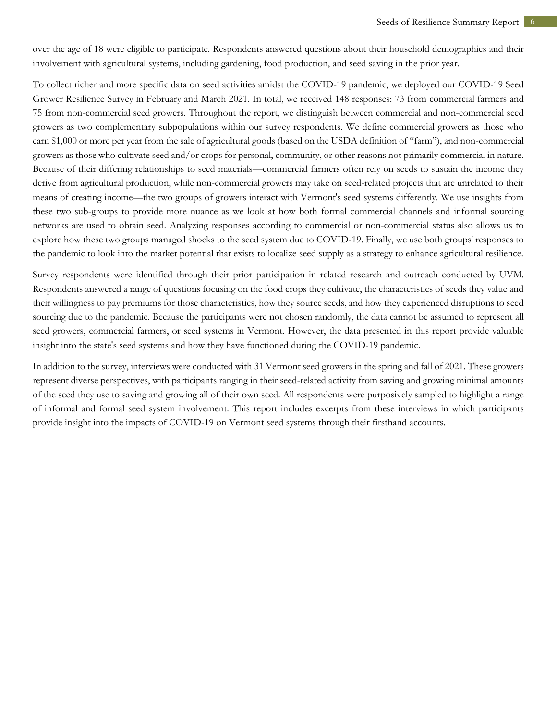over the age of 18 were eligible to participate. Respondents answered questions about their household demographics and their involvement with agricultural systems, including gardening, food production, and seed saving in the prior year.

To collect richer and more specific data on seed activities amidst the COVID-19 pandemic, we deployed our COVID-19 Seed Grower Resilience Survey in February and March 2021. In total, we received 148 responses: 73 from commercial farmers and 75 from non-commercial seed growers. Throughout the report, we distinguish between commercial and non-commercial seed growers as two complementary subpopulations within our survey respondents. We define commercial growers as those who earn \$1,000 or more per year from the sale of agricultural goods (based on the USDA definition of "farm"), and non-commercial growers as those who cultivate seed and/or crops for personal, community, or other reasons not primarily commercial in nature. Because of their differing relationships to seed materials—commercial farmers often rely on seeds to sustain the income they derive from agricultural production, while non-commercial growers may take on seed-related projects that are unrelated to their means of creating income—the two groups of growers interact with Vermont's seed systems differently. We use insights from these two sub-groups to provide more nuance as we look at how both formal commercial channels and informal sourcing networks are used to obtain seed. Analyzing responses according to commercial or non-commercial status also allows us to explore how these two groups managed shocks to the seed system due to COVID-19. Finally, we use both groups' responses to the pandemic to look into the market potential that exists to localize seed supply as a strategy to enhance agricultural resilience.

Survey respondents were identified through their prior participation in related research and outreach conducted by UVM. Respondents answered a range of questions focusing on the food crops they cultivate, the characteristics of seeds they value and their willingness to pay premiums for those characteristics, how they source seeds, and how they experienced disruptions to seed sourcing due to the pandemic. Because the participants were not chosen randomly, the data cannot be assumed to represent all seed growers, commercial farmers, or seed systems in Vermont. However, the data presented in this report provide valuable insight into the state's seed systems and how they have functioned during the COVID-19 pandemic.

In addition to the survey, interviews were conducted with 31 Vermont seed growers in the spring and fall of 2021. These growers represent diverse perspectives, with participants ranging in their seed-related activity from saving and growing minimal amounts of the seed they use to saving and growing all of their own seed. All respondents were purposively sampled to highlight a range of informal and formal seed system involvement. This report includes excerpts from these interviews in which participants provide insight into the impacts of COVID-19 on Vermont seed systems through their firsthand accounts.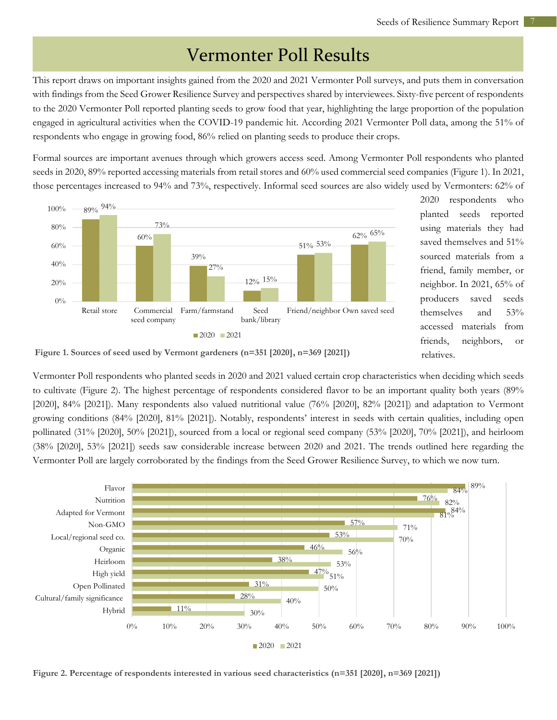### Vermonter Poll Results

<span id="page-8-0"></span>This report draws on important insights gained from the 2020 and 2021 Vermonter Poll surveys, and puts them in conversation with findings from the Seed Grower Resilience Survey and perspectives shared by interviewees. Sixty-five percent of respondents to the 2020 Vermonter Poll reported planting seeds to grow food that year, highlighting the large proportion of the population engaged in agricultural activities when the COVID-19 pandemic hit. According 2021 Vermonter Poll data, among the 51% of respondents who engage in growing food, 86% relied on planting seeds to produce their crops.

Formal sources are important avenues through which growers access seed. Among Vermonter Poll respondents who planted seeds in 2020, 89% reported accessing materials from retail stores and 60% used commercial seed companies (Figure 1). In 2021, those percentages increased to 94% and 73%, respectively. Informal seed sources are also widely used by Vermonters: 62% of



2020 respondents who planted seeds reported using materials they had saved themselves and 51% sourced materials from a friend, family member, or neighbor. In 2021, 65% of producers saved seeds themselves and 53% accessed materials from friends, neighbors, or relatives.

**Figure 1. Sources of seed used by Vermont gardeners (n=351 [2020], n=369 [2021])**

Vermonter Poll respondents who planted seeds in 2020 and 2021 valued certain crop characteristics when deciding which seeds to cultivate (Figure 2). The highest percentage of respondents considered flavor to be an important quality both years (89% [2020], 84% [2021]). Many respondents also valued nutritional value (76% [2020], 82% [2021]) and adaptation to Vermont growing conditions (84% [2020], 81% [2021]). Notably, respondents' interest in seeds with certain qualities, including open pollinated (31% [2020], 50% [2021]), sourced from a local or regional seed company (53% [2020], 70% [2021]), and heirloom (38% [2020], 53% [2021]) seeds saw considerable increase between 2020 and 2021. The trends outlined here regarding the Vermonter Poll are largely corroborated by the findings from the Seed Grower Resilience Survey, to which we now turn.



**Figure 2. Percentage of respondents interested in various seed characteristics (n=351 [2020], n=369 [2021])**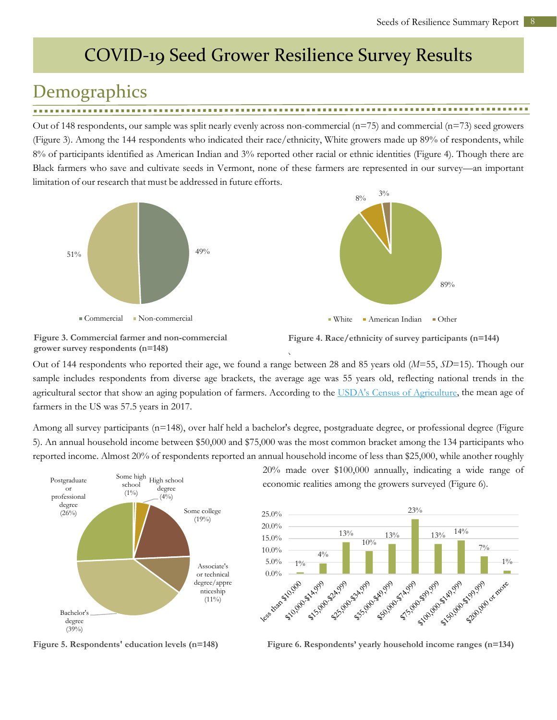# <span id="page-9-0"></span>COVID-19 Seed Grower Resilience Survey Results

# <span id="page-9-1"></span>**Demographics**

Out of 148 respondents, our sample was split nearly evenly across non-commercial  $(n=75)$  and commercial  $(n=73)$  seed growers (Figure 3). Among the 144 respondents who indicated their race/ethnicity, White growers made up 89% of respondents, while 8% of participants identified as American Indian and 3% reported other racial or ethnic identities (Figure 4). Though there are Black farmers who save and cultivate seeds in Vermont, none of these farmers are represented in our survey—an important limitation of our research that must be addressed in future efforts.





**Figure 3. Commercial farmer and non-commercial grower survey respondents (n=148)**

**Figure 4. Race/ethnicity of survey participants (n=144)**

Out of 144 respondents who reported their age, we found a range between 28 and 85 years old (*M*=55, *SD*=15). Though our sample includes respondents from diverse age brackets, the average age was 55 years old, reflecting national trends in the agricultural sector that show an aging population of farmers. According to the [USDA's Census of Agriculture,](https://www.nass.usda.gov/Publications/AgCensus/2017/index.php) the mean age of farmers in the US was 57.5 years in 2017. **)**

Among all survey participants (n=148), over half held a bachelor's degree, postgraduate degree, or professional degree (Figure 5). An annual household income between \$50,000 and \$75,000 was the most common bracket among the 134 participants who reported income. Almost 20% of respondents reported an annual household income of less than \$25,000, while another roughly



**Figure 5. Respondents' education levels (n=148)**

20% made over \$100,000 annually, indicating a wide range of economic realities among the growers surveyed (Figure 6).



**Figure 6. Respondents' yearly household income ranges (n=134)**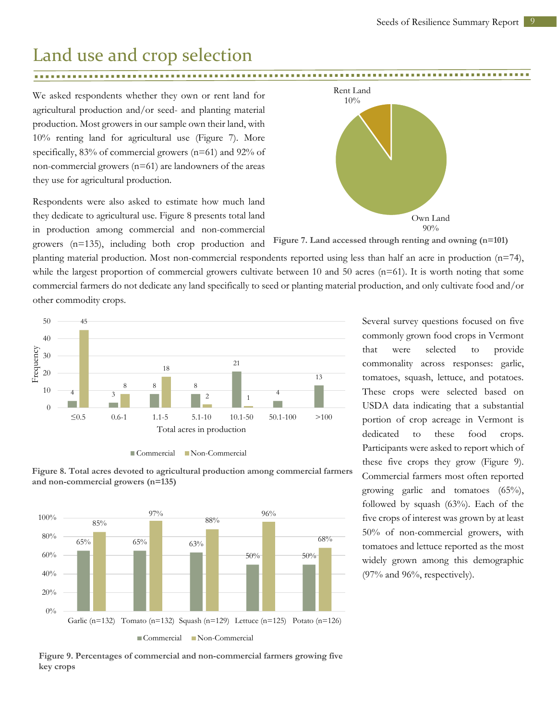### <span id="page-10-0"></span>Land use and crop selection

......................... 

We asked respondents whether they own or rent land for agricultural production and/or seed- and planting material production. Most growers in our sample own their land, with 10% renting land for agricultural use (Figure 7). More specifically, 83% of commercial growers (n=61) and 92% of non-commercial growers (n=61) are landowners of the areas they use for agricultural production.

Respondents were also asked to estimate how much land they dedicate to agricultural use. Figure 8 presents total land in production among commercial and non-commercial

growers (n=135), including both crop production and



**Figure 7. Land accessed through renting and owning (n=101)**

planting material production. Most non-commercial respondents reported using less than half an acre in production (n=74), while the largest proportion of commercial growers cultivate between 10 and 50 acres ( $n=61$ ). It is worth noting that some commercial farmers do not dedicate any land specifically to seed or planting material production, and only cultivate food and/or other commodity crops.



Commercial Non-Commercial



**Figure 8. Total acres devoted to agricultural production among commercial farmers** 



**Figure 9. Percentages of commercial and non-commercial farmers growing five key crops** 

Several survey questions focused on five commonly grown food crops in Vermont that were selected to provide commonality across responses: garlic, tomatoes, squash, lettuce, and potatoes. These crops were selected based on USDA data indicating that a substantial portion of crop acreage in Vermont is dedicated to these food crops. Participants were asked to report which of these five crops they grow (Figure 9). Commercial farmers most often reported growing garlic and tomatoes (65%), followed by squash (63%). Each of the five crops of interest was grown by at least 50% of non-commercial growers, with tomatoes and lettuce reported as the most widely grown among this demographic (97% and 96%, respectively).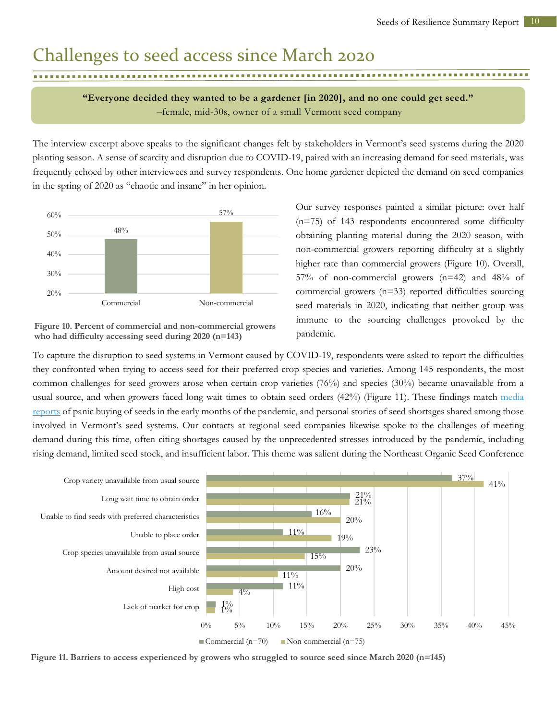### <span id="page-11-0"></span>Challenges to seed access since March 2020

**"Everyone decided they wanted to be a gardener [in 2020], and no one could get seed."** –female, mid-30s, owner of a small Vermont seed company

The interview excerpt above speaks to the significant changes felt by stakeholders in Vermont's seed systems during the 2020 planting season. A sense of scarcity and disruption due to COVID-19, paired with an increasing demand for seed materials, was frequently echoed by other interviewees and survey respondents. One home gardener depicted the demand on seed companies in the spring of 2020 as "chaotic and insane" in her opinion.



**Figure 10. Percent of commercial and non-commercial growers who had difficulty accessing seed during 2020 (n=143)**

Our survey responses painted a similar picture: over half (n=75) of 143 respondents encountered some difficulty obtaining planting material during the 2020 season, with non-commercial growers reporting difficulty at a slightly higher rate than commercial growers (Figure 10). Overall, 57% of non-commercial growers (n=42) and 48% of commercial growers (n=33) reported difficulties sourcing seed materials in 2020, indicating that neither group was immune to the sourcing challenges provoked by the pandemic.

To capture the disruption to seed systems in Vermont caused by COVID-19, respondents were asked to report the difficulties they confronted when trying to access seed for their preferred crop species and varieties. Among 145 respondents, the most common challenges for seed growers arose when certain crop varieties (76%) and species (30%) became unavailable from a usual source, and when growers faced long wait times to obtain seed orders (42%) (Figure 11). These findings match media [reports](https://www.washingtonpost.com/lifestyle/home/an-onslaught-of-orders-engulfs-seed-companies-amid-coronavirus-fears/2020/03/27/5a19ccca-6ec7-11ea-aa80-c2470c6b2034_story.html) of panic buying of seeds in the early months of the pandemic, and personal stories of seed shortages shared among those involved in Vermont's seed systems. Our contacts at regional seed companies likewise spoke to the challenges of meeting demand during this time, often citing shortages caused by the unprecedented stresses introduced by the pandemic, including rising demand, limited seed stock, and insufficient labor. This theme was salient during the Northeast Organic Seed Conference



**Figure 11. Barriers to access experienced by growers who struggled to source seed since March 2020 (n=145)**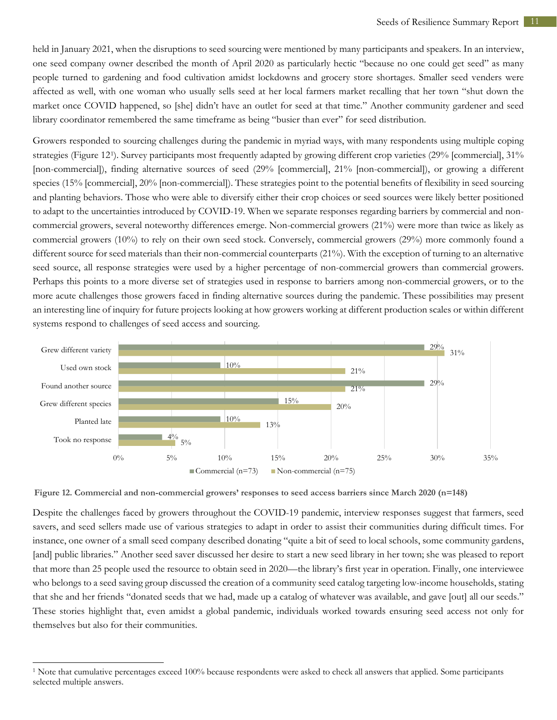held in January 2021, when the disruptions to seed sourcing were mentioned by many participants and speakers. In an interview, one seed company owner described the month of April 2020 as particularly hectic "because no one could get seed" as many people turned to gardening and food cultivation amidst lockdowns and grocery store shortages. Smaller seed venders were affected as well, with one woman who usually sells seed at her local farmers market recalling that her town "shut down the market once COVID happened, so [she] didn't have an outlet for seed at that time." Another community gardener and seed library coordinator remembered the same timeframe as being "busier than ever" for seed distribution.

Growers responded to sourcing challenges during the pandemic in myriad ways, with many respondents using multiple coping strategies (Figure 12[1\)](#page-12-0). Survey participants most frequently adapted by growing different crop varieties (29% [commercial], 31% [non-commercial]), finding alternative sources of seed (29% [commercial], 21% [non-commercial]), or growing a different species (15% [commercial], 20% [non-commercial]). These strategies point to the potential benefits of flexibility in seed sourcing and planting behaviors. Those who were able to diversify either their crop choices or seed sources were likely better positioned to adapt to the uncertainties introduced by COVID-19. When we separate responses regarding barriers by commercial and noncommercial growers, several noteworthy differences emerge. Non-commercial growers (21%) were more than twice as likely as commercial growers (10%) to rely on their own seed stock. Conversely, commercial growers (29%) more commonly found a different source for seed materials than their non-commercial counterparts (21%). With the exception of turning to an alternative seed source, all response strategies were used by a higher percentage of non-commercial growers than commercial growers. Perhaps this points to a more diverse set of strategies used in response to barriers among non-commercial growers, or to the more acute challenges those growers faced in finding alternative sources during the pandemic. These possibilities may present an interesting line of inquiry for future projects looking at how growers working at different production scales or within different systems respond to challenges of seed access and sourcing.



**Figure 12. Commercial and non-commercial growers' responses to seed access barriers since March 2020 (n=148)**

Despite the challenges faced by growers throughout the COVID-19 pandemic, interview responses suggest that farmers, seed savers, and seed sellers made use of various strategies to adapt in order to assist their communities during difficult times. For instance, one owner of a small seed company described donating "quite a bit of seed to local schools, some community gardens, [and] public libraries." Another seed saver discussed her desire to start a new seed library in her town; she was pleased to report that more than 25 people used the resource to obtain seed in 2020—the library's first year in operation. Finally, one interviewee who belongs to a seed saving group discussed the creation of a community seed catalog targeting low-income households, stating that she and her friends "donated seeds that we had, made up a catalog of whatever was available, and gave [out] all our seeds." These stories highlight that, even amidst a global pandemic, individuals worked towards ensuring seed access not only for themselves but also for their communities.

<span id="page-12-0"></span> $\overline{a}$ 

<sup>&</sup>lt;sup>1</sup> Note that cumulative percentages exceed 100% because respondents were asked to check all answers that applied. Some participants selected multiple answers.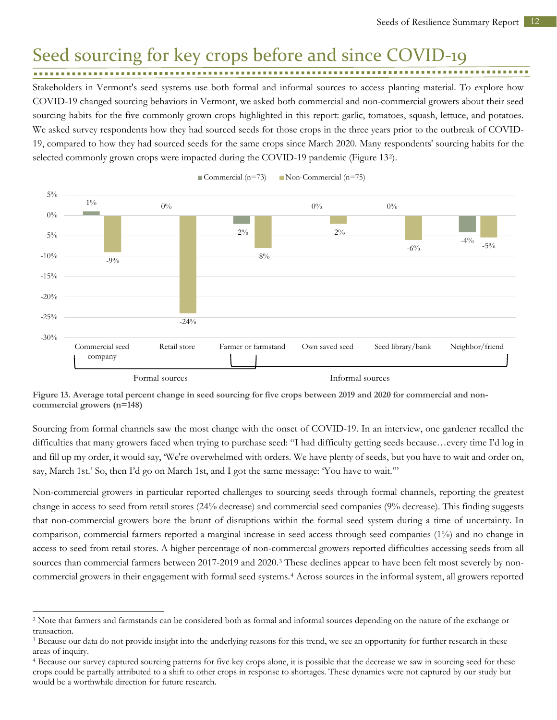### <span id="page-13-0"></span>Seed sourcing for key crops before and since COVID-19

Stakeholders in Vermont's seed systems use both formal and informal sources to access planting material. To explore how COVID-19 changed sourcing behaviors in Vermont, we asked both commercial and non-commercial growers about their seed sourcing habits for the five commonly grown crops highlighted in this report: garlic, tomatoes, squash, lettuce, and potatoes. We asked survey respondents how they had sourced seeds for those crops in the three years prior to the outbreak of COVID-19, compared to how they had sourced seeds for the same crops since March 2020. Many respondents' sourcing habits for the selected commonly grown crops were impacted during the COVID-19 pandemic (Figure 13[2](#page-13-1)).



Commercial  $(n=73)$  Non-Commercial  $(n=75)$ 

**Figure 13. Average total percent change in seed sourcing for five crops between 2019 and 2020 for commercial and noncommercial growers (n=148)** 

Sourcing from formal channels saw the most change with the onset of COVID-19. In an interview, one gardener recalled the difficulties that many growers faced when trying to purchase seed: "I had difficulty getting seeds because…every time I'd log in and fill up my order, it would say, 'We're overwhelmed with orders. We have plenty of seeds, but you have to wait and order on, say, March 1st.' So, then I'd go on March 1st, and I got the same message: 'You have to wait.'"

Non-commercial growers in particular reported challenges to sourcing seeds through formal channels, reporting the greatest change in access to seed from retail stores (24% decrease) and commercial seed companies (9% decrease). This finding suggests that non-commercial growers bore the brunt of disruptions within the formal seed system during a time of uncertainty. In comparison, commercial farmers reported a marginal increase in seed access through seed companies (1%) and no change in access to seed from retail stores. A higher percentage of non-commercial growers reported difficulties accessing seeds from all sources than commercial farmers between 2017-2019 and 2020.<sup>[3](#page-13-2)</sup> These declines appear to have been felt most severely by noncommercial growers in their engagement with formal seed systems.[4](#page-13-3) Across sources in the informal system, all growers reported

<span id="page-13-1"></span> $\overline{a}$ <sup>2</sup> Note that farmers and farmstands can be considered both as formal and informal sources depending on the nature of the exchange or

<span id="page-13-2"></span>transaction.<br><sup>3</sup> Because our data do not provide insight into the underlying reasons for this trend, we see an opportunity for further research in these areas of inquiry.

<span id="page-13-3"></span><sup>4</sup> Because our survey captured sourcing patterns for five key crops alone, it is possible that the decrease we saw in sourcing seed for these crops could be partially attributed to a shift to other crops in response to shortages. These dynamics were not captured by our study but would be a worthwhile direction for future research.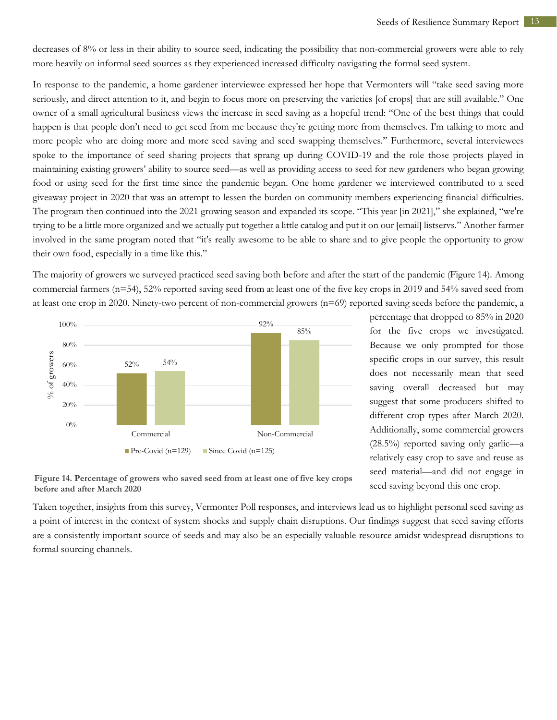decreases of 8% or less in their ability to source seed, indicating the possibility that non-commercial growers were able to rely more heavily on informal seed sources as they experienced increased difficulty navigating the formal seed system.

In response to the pandemic, a home gardener interviewee expressed her hope that Vermonters will "take seed saving more seriously, and direct attention to it, and begin to focus more on preserving the varieties [of crops] that are still available." One owner of a small agricultural business views the increase in seed saving as a hopeful trend: "One of the best things that could happen is that people don't need to get seed from me because they're getting more from themselves. I'm talking to more and more people who are doing more and more seed saving and seed swapping themselves." Furthermore, several interviewees spoke to the importance of seed sharing projects that sprang up during COVID-19 and the role those projects played in maintaining existing growers' ability to source seed—as well as providing access to seed for new gardeners who began growing food or using seed for the first time since the pandemic began. One home gardener we interviewed contributed to a seed giveaway project in 2020 that was an attempt to lessen the burden on community members experiencing financial difficulties. The program then continued into the 2021 growing season and expanded its scope. "This year [in 2021]," she explained, "we're trying to be a little more organized and we actually put together a little catalog and put it on our [email] listservs." Another farmer involved in the same program noted that "it's really awesome to be able to share and to give people the opportunity to grow their own food, especially in a time like this."

The majority of growers we surveyed practiced seed saving both before and after the start of the pandemic (Figure 14). Among commercial farmers (n=54), 52% reported saving seed from at least one of the five key crops in 2019 and 54% saved seed from at least one crop in 2020. Ninety-two percent of non-commercial growers (n=69) reported saving seeds before the pandemic, a



percentage that dropped to 85% in 2020 for the five crops we investigated. Because we only prompted for those specific crops in our survey, this result does not necessarily mean that seed saving overall decreased but may suggest that some producers shifted to different crop types after March 2020. Additionally, some commercial growers (28.5%) reported saving only garlic—a relatively easy crop to save and reuse as seed material—and did not engage in seed saving beyond this one crop.

**Figure 14. Percentage of growers who saved seed from at least one of five key crops before and after March 2020** 

Taken together, insights from this survey, Vermonter Poll responses, and interviews lead us to highlight personal seed saving as a point of interest in the context of system shocks and supply chain disruptions. Our findings suggest that seed saving efforts are a consistently important source of seeds and may also be an especially valuable resource amidst widespread disruptions to formal sourcing channels.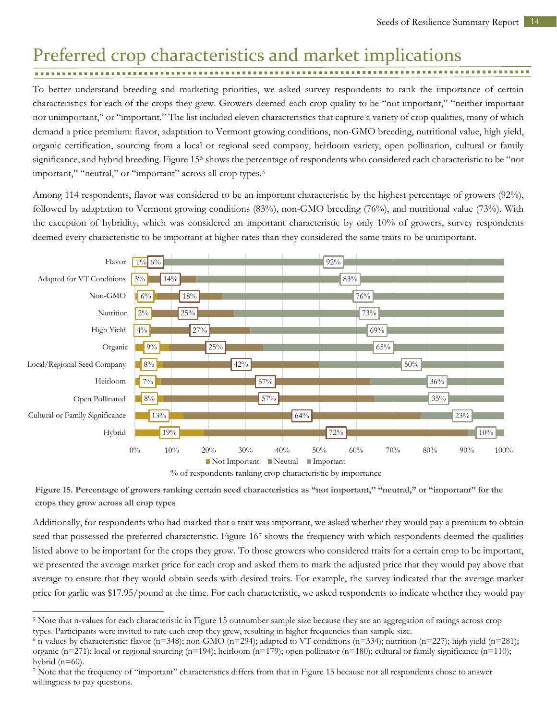#### <span id="page-15-0"></span>Preferred crop characteristics and market implications . . . . . . . . . . . . . . . . . . .

To better understand breeding and marketing priorities, we asked survey respondents to rank the importance of certain characteristics for each of the crops they grew. Growers deemed each crop quality to be "not important," "neither important nor unimportant," or "important." The list included eleven characteristics that capture a variety of crop qualities, many of which demand a price premium: flavor, adaptation to Vermont growing conditions, non-GMO breeding, nutritional value, high yield, organic certification, sourcing from a local or regional seed company, heirloom variety, open pollination, cultural or family significance, and hybrid breeding. Figure 15[5](#page-15-1) shows the percentage of respondents who considered each characteristic to be "not important," "neutral," or "important" across all crop types.<sup>6</sup>

Among 114 respondents, flavor was considered to be an important characteristic by the highest percentage of growers (92%), followed by adaptation to Vermont growing conditions (83%), non-GMO breeding (76%), and nutritional value (73%). With the exception of hybridity, which was considered an important characteristic by only 10% of growers, survey respondents deemed every characteristic to be important at higher rates than they considered the same traits to be unimportant.



**Figure 15. Percentage of growers ranking certain seed characteristics as "not important," "neutral," or "important" for the crops they grow across all crop types**

Additionally, for respondents who had marked that a trait was important, we asked whether they would pay a premium to obtain seed that possessed the preferred characteristic. Figure 16[7](#page-15-3) shows the frequency with which respondents deemed the qualities listed above to be important for the crops they grow. To those growers who considered traits for a certain crop to be important, we presented the average market price for each crop and asked them to mark the adjusted price that they would pay above that average to ensure that they would obtain seeds with desired traits. For example, the survey indicated that the average market price for garlic was \$17.95/pound at the time. For each characteristic, we asked respondents to indicate whether they would pay

<span id="page-15-1"></span> $\overline{a}$ <sup>5</sup> Note that n-values for each characteristic in Figure 15 outnumber sample size because they are an aggregation of ratings across crop types. Participants were invited to rate each crop they grew, resulting in higher frequencies than sample size.<br>6 n-values by characteristic: flavor (n=348); non-GMO (n=294); adapted to VT conditions (n=334); nutrition (n

<span id="page-15-2"></span>organic (n=271); local or regional sourcing (n=194); heirloom (n=179); open pollinator (n=180); cultural or family significance (n=110); hybrid  $(n=60)$ .

<span id="page-15-3"></span><sup>7</sup> Note that the frequency of "important" characteristics differs from that in Figure 15 because not all respondents chose to answer willingness to pay questions.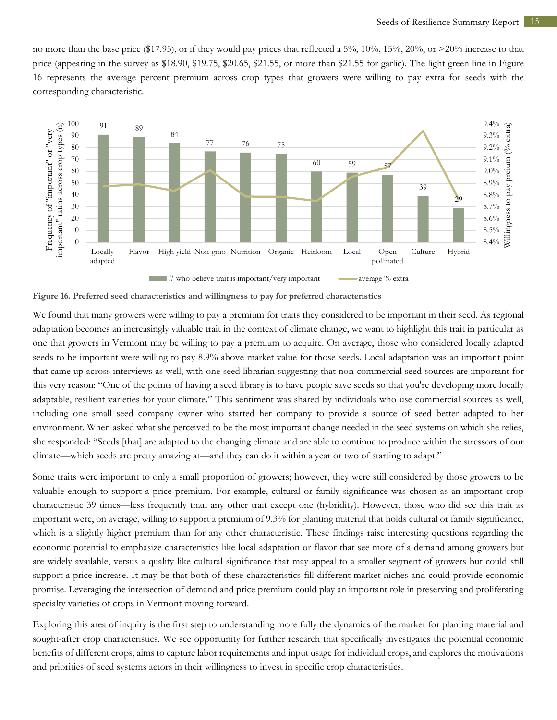no more than the base price (\$17.95), or if they would pay prices that reflected a 5%, 10%, 15%, 20%, or >20% increase to that price (appearing in the survey as \$18.90, \$19.75, \$20.65, \$21.55, or more than \$21.55 for garlic). The light green line in Figure 16 represents the average percent premium across crop types that growers were willing to pay extra for seeds with the corresponding characteristic.



**Figure 16. Preferred seed characteristics and willingness to pay for preferred characteristics**

We found that many growers were willing to pay a premium for traits they considered to be important in their seed. As regional adaptation becomes an increasingly valuable trait in the context of climate change, we want to highlight this trait in particular as one that growers in Vermont may be willing to pay a premium to acquire. On average, those who considered locally adapted seeds to be important were willing to pay 8.9% above market value for those seeds. Local adaptation was an important point that came up across interviews as well, with one seed librarian suggesting that non-commercial seed sources are important for this very reason: "One of the points of having a seed library is to have people save seeds so that you're developing more locally adaptable, resilient varieties for your climate." This sentiment was shared by individuals who use commercial sources as well, including one small seed company owner who started her company to provide a source of seed better adapted to her environment. When asked what she perceived to be the most important change needed in the seed systems on which she relies, she responded: "Seeds [that] are adapted to the changing climate and are able to continue to produce within the stressors of our climate—which seeds are pretty amazing at—and they can do it within a year or two of starting to adapt."

Some traits were important to only a small proportion of growers; however, they were still considered by those growers to be valuable enough to support a price premium. For example, cultural or family significance was chosen as an important crop characteristic 39 times—less frequently than any other trait except one (hybridity). However, those who did see this trait as important were, on average, willing to support a premium of 9.3% for planting material that holds cultural or family significance, which is a slightly higher premium than for any other characteristic. These findings raise interesting questions regarding the economic potential to emphasize characteristics like local adaptation or flavor that see more of a demand among growers but are widely available, versus a quality like cultural significance that may appeal to a smaller segment of growers but could still support a price increase. It may be that both of these characteristics fill different market niches and could provide economic promise. Leveraging the intersection of demand and price premium could play an important role in preserving and proliferating specialty varieties of crops in Vermont moving forward.

Exploring this area of inquiry is the first step to understanding more fully the dynamics of the market for planting material and sought-after crop characteristics. We see opportunity for further research that specifically investigates the potential economic benefits of different crops, aims to capture labor requirements and input usage for individual crops, and explores the motivations and priorities of seed systems actors in their willingness to invest in specific crop characteristics.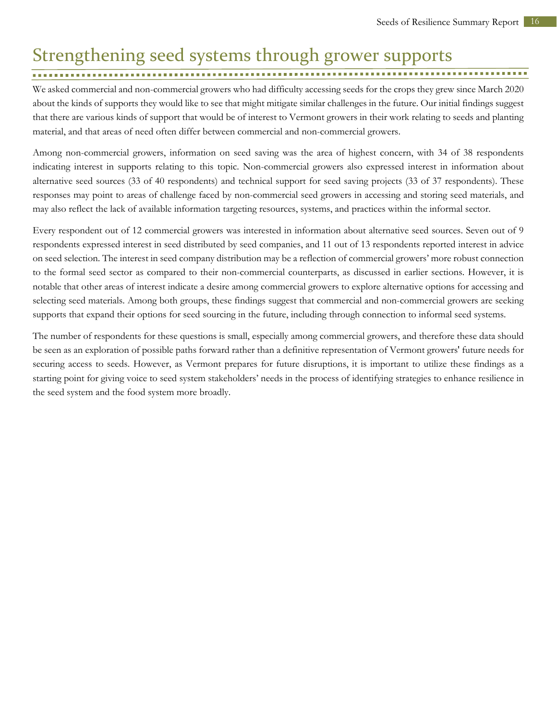# <span id="page-17-0"></span>Strengthening seed systems through grower supports

#### 

We asked commercial and non-commercial growers who had difficulty accessing seeds for the crops they grew since March 2020 about the kinds of supports they would like to see that might mitigate similar challenges in the future. Our initial findings suggest that there are various kinds of support that would be of interest to Vermont growers in their work relating to seeds and planting material, and that areas of need often differ between commercial and non-commercial growers.

Among non-commercial growers, information on seed saving was the area of highest concern, with 34 of 38 respondents indicating interest in supports relating to this topic. Non-commercial growers also expressed interest in information about alternative seed sources (33 of 40 respondents) and technical support for seed saving projects (33 of 37 respondents). These responses may point to areas of challenge faced by non-commercial seed growers in accessing and storing seed materials, and may also reflect the lack of available information targeting resources, systems, and practices within the informal sector.

Every respondent out of 12 commercial growers was interested in information about alternative seed sources. Seven out of 9 respondents expressed interest in seed distributed by seed companies, and 11 out of 13 respondents reported interest in advice on seed selection. The interest in seed company distribution may be a reflection of commercial growers' more robust connection to the formal seed sector as compared to their non-commercial counterparts, as discussed in earlier sections. However, it is notable that other areas of interest indicate a desire among commercial growers to explore alternative options for accessing and selecting seed materials. Among both groups, these findings suggest that commercial and non-commercial growers are seeking supports that expand their options for seed sourcing in the future, including through connection to informal seed systems.

The number of respondents for these questions is small, especially among commercial growers, and therefore these data should be seen as an exploration of possible paths forward rather than a definitive representation of Vermont growers' future needs for securing access to seeds. However, as Vermont prepares for future disruptions, it is important to utilize these findings as a starting point for giving voice to seed system stakeholders' needs in the process of identifying strategies to enhance resilience in the seed system and the food system more broadly.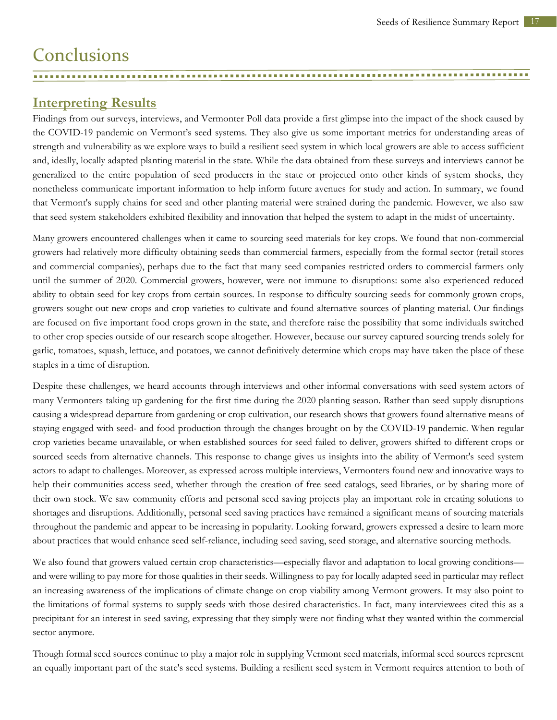# <span id="page-18-0"></span>**Conclusions**

#### **Interpreting Results**

Findings from our surveys, interviews, and Vermonter Poll data provide a first glimpse into the impact of the shock caused by the COVID-19 pandemic on Vermont's seed systems. They also give us some important metrics for understanding areas of strength and vulnerability as we explore ways to build a resilient seed system in which local growers are able to access sufficient and, ideally, locally adapted planting material in the state. While the data obtained from these surveys and interviews cannot be generalized to the entire population of seed producers in the state or projected onto other kinds of system shocks, they nonetheless communicate important information to help inform future avenues for study and action. In summary, we found that Vermont's supply chains for seed and other planting material were strained during the pandemic. However, we also saw that seed system stakeholders exhibited flexibility and innovation that helped the system to adapt in the midst of uncertainty.

<span id="page-18-1"></span>

Many growers encountered challenges when it came to sourcing seed materials for key crops. We found that non-commercial growers had relatively more difficulty obtaining seeds than commercial farmers, especially from the formal sector (retail stores and commercial companies), perhaps due to the fact that many seed companies restricted orders to commercial farmers only until the summer of 2020. Commercial growers, however, were not immune to disruptions: some also experienced reduced ability to obtain seed for key crops from certain sources. In response to difficulty sourcing seeds for commonly grown crops, growers sought out new crops and crop varieties to cultivate and found alternative sources of planting material. Our findings are focused on five important food crops grown in the state, and therefore raise the possibility that some individuals switched to other crop species outside of our research scope altogether. However, because our survey captured sourcing trends solely for garlic, tomatoes, squash, lettuce, and potatoes, we cannot definitively determine which crops may have taken the place of these staples in a time of disruption.

Despite these challenges, we heard accounts through interviews and other informal conversations with seed system actors of many Vermonters taking up gardening for the first time during the 2020 planting season. Rather than seed supply disruptions causing a widespread departure from gardening or crop cultivation, our research shows that growers found alternative means of staying engaged with seed- and food production through the changes brought on by the COVID-19 pandemic. When regular crop varieties became unavailable, or when established sources for seed failed to deliver, growers shifted to different crops or sourced seeds from alternative channels. This response to change gives us insights into the ability of Vermont's seed system actors to adapt to challenges. Moreover, as expressed across multiple interviews, Vermonters found new and innovative ways to help their communities access seed, whether through the creation of free seed catalogs, seed libraries, or by sharing more of their own stock. We saw community efforts and personal seed saving projects play an important role in creating solutions to shortages and disruptions. Additionally, personal seed saving practices have remained a significant means of sourcing materials throughout the pandemic and appear to be increasing in popularity. Looking forward, growers expressed a desire to learn more about practices that would enhance seed self-reliance, including seed saving, seed storage, and alternative sourcing methods.

We also found that growers valued certain crop characteristics—especially flavor and adaptation to local growing conditions and were willing to pay more for those qualities in their seeds. Willingness to pay for locally adapted seed in particular may reflect an increasing awareness of the implications of climate change on crop viability among Vermont growers. It may also point to the limitations of formal systems to supply seeds with those desired characteristics. In fact, many interviewees cited this as a precipitant for an interest in seed saving, expressing that they simply were not finding what they wanted within the commercial sector anymore.

Though formal seed sources continue to play a major role in supplying Vermont seed materials, informal seed sources represent an equally important part of the state's seed systems. Building a resilient seed system in Vermont requires attention to both of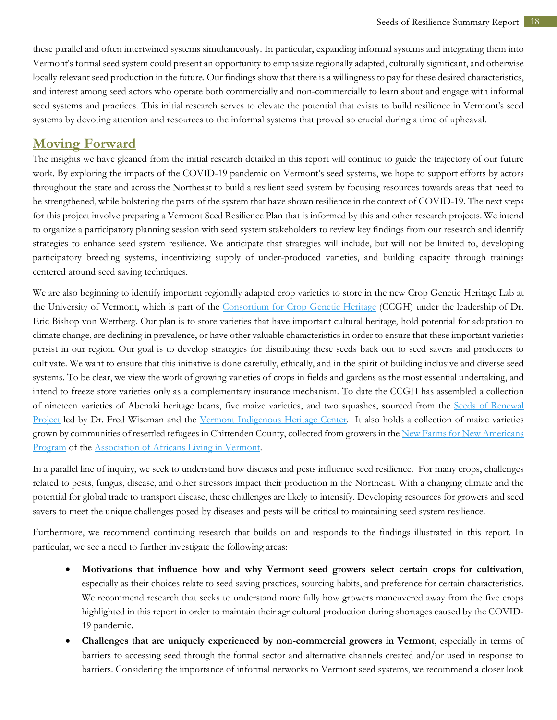these parallel and often intertwined systems simultaneously. In particular, expanding informal systems and integrating them into Vermont's formal seed system could present an opportunity to emphasize regionally adapted, culturally significant, and otherwise locally relevant seed production in the future. Our findings show that there is a willingness to pay for these desired characteristics, and interest among seed actors who operate both commercially and non-commercially to learn about and engage with informal seed systems and practices. This initial research serves to elevate the potential that exists to build resilience in Vermont's seed systems by devoting attention and resources to the informal systems that proved so crucial during a time of upheaval.

#### <span id="page-19-0"></span>**Moving Forward**

The insights we have gleaned from the initial research detailed in this report will continue to guide the trajectory of our future work. By exploring the impacts of the COVID-19 pandemic on Vermont's seed systems, we hope to support efforts by actors throughout the state and across the Northeast to build a resilient seed system by focusing resources towards areas that need to be strengthened, while bolstering the parts of the system that have shown resilience in the context of COVID-19. The next steps for this project involve preparing a Vermont Seed Resilience Plan that is informed by this and other research projects. We intend to organize a participatory planning session with seed system stakeholders to review key findings from our research and identify strategies to enhance seed system resilience. We anticipate that strategies will include, but will not be limited to, developing participatory breeding systems, incentivizing supply of under-produced varieties, and building capacity through trainings centered around seed saving techniques.

We are also beginning to identify important regionally adapted crop varieties to store in the new Crop Genetic Heritage Lab at the University of Vermont, which is part of the [Consortium for Crop Genetic Heritage](https://www.uvm.edu/cals/consortium-for-crop-genetic-heritage) (CCGH) under the leadership of Dr. Eric Bishop von Wettberg. Our plan is to store varieties that have important cultural heritage, hold potential for adaptation to climate change, are declining in prevalence, or have other valuable characteristics in order to ensure that these important varieties persist in our region. Our goal is to develop strategies for distributing these seeds back out to seed savers and producers to cultivate. We want to ensure that this initiative is done carefully, ethically, and in the spirit of building inclusive and diverse seed systems. To be clear, we view the work of growing varieties of crops in fields and gardens as the most essential undertaking, and intend to freeze store varieties only as a complementary insurance mechanism. To date the CCGH has assembled a collection of nineteen varieties of Abenaki heritage beans, five maize varieties, and two squashes, sourced from the Seeds [of Renewal](https://www.alnobaiwi.org/seeds-of-renewal)  [Project](https://www.alnobaiwi.org/seeds-of-renewal) led by Dr. Fred Wiseman and the [Vermont Indigenous Heritage Center.](https://www.alnobaiwi.org/) It also holds a collection of maize varieties grown by communities of resettled refugees in Chittenden County, collected from growers in the [New Farms for New Americans](https://www.aalv-vt.org/farms)  [Program](https://www.aalv-vt.org/farms) of the [Association of Africans Living in Vermont.](https://www.aalv-vt.org/)

In a parallel line of inquiry, we seek to understand how diseases and pests influence seed resilience. For many crops, challenges related to pests, fungus, disease, and other stressors impact their production in the Northeast. With a changing climate and the potential for global trade to transport disease, these challenges are likely to intensify. Developing resources for growers and seed savers to meet the unique challenges posed by diseases and pests will be critical to maintaining seed system resilience.

Furthermore, we recommend continuing research that builds on and responds to the findings illustrated in this report. In particular, we see a need to further investigate the following areas:

- **Motivations that influence how and why Vermont seed growers select certain crops for cultivation**, especially as their choices relate to seed saving practices, sourcing habits, and preference for certain characteristics. We recommend research that seeks to understand more fully how growers maneuvered away from the five crops highlighted in this report in order to maintain their agricultural production during shortages caused by the COVID-19 pandemic.
- **Challenges that are uniquely experienced by non-commercial growers in Vermont**, especially in terms of barriers to accessing seed through the formal sector and alternative channels created and/or used in response to barriers. Considering the importance of informal networks to Vermont seed systems, we recommend a closer look